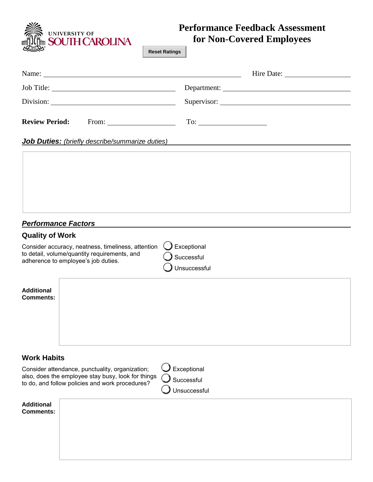S<br>I<sub>IIII</sub> SOUTH CAROLINA<br>I<sub>IIII</sub> SOUTH CAROLINA

# **Performance Feedback Assessment for Non-Covered Employees**

**Reset Ratings**

| <b>Review Period:</b><br>From: $\qquad \qquad$                                                                                                                          | $To: \begin{tabular}{ c c c c } \hline \quad \quad & \quad \quad & \quad \quad \\ \hline \end{tabular}$ |
|-------------------------------------------------------------------------------------------------------------------------------------------------------------------------|---------------------------------------------------------------------------------------------------------|
| Job Duties: (briefly describe/summarize duties)<br><u> 1980 - Johann Barbara, martxa alemaniar argumento de la contrada de la contrada de la contrada de la contrad</u> |                                                                                                         |
|                                                                                                                                                                         |                                                                                                         |
|                                                                                                                                                                         |                                                                                                         |
|                                                                                                                                                                         |                                                                                                         |
|                                                                                                                                                                         |                                                                                                         |
| <b>Performance Factors</b><br><b>Quality of Work</b>                                                                                                                    |                                                                                                         |
| Consider accuracy, neatness, timeliness, attention<br>to detail, volume/quantity requirements, and<br>adherence to employee's job duties.                               | Exceptional<br>Successful<br>Unsuccessful                                                               |
| <b>Additional</b><br><b>Comments:</b>                                                                                                                                   |                                                                                                         |
| <b>Work Habits</b>                                                                                                                                                      |                                                                                                         |
| Consider attendance, punctuality, organization;<br>also, does the employee stay busy, look for things<br>to do, and follow policies and work procedures?                | Exceptional<br>Successful<br><b>Jnsuccessful</b>                                                        |
| <b>Additional</b><br><b>Comments:</b>                                                                                                                                   |                                                                                                         |